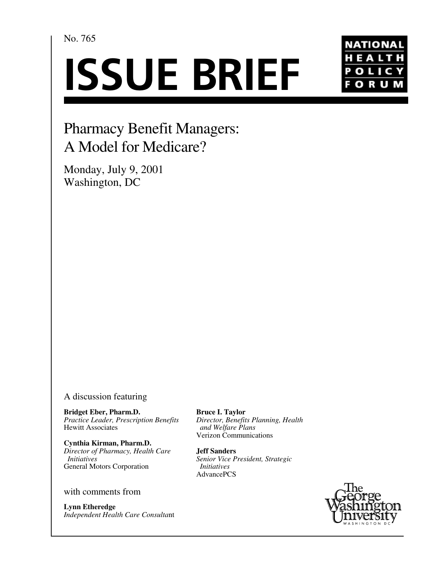No. 765

# **ISSUE BRIEF**



# Pharmacy Benefit Managers: A Model for Medicare?

Monday, July 9, 2001 Washington, DC

## A discussion featuring

**Bridget Eber, Pharm.D.** *Practice Leader, Prescription Benefits* Hewitt Associates

**Cynthia Kirman, Pharm.D.** *Director of Pharmacy, Health Care Initiatives* General Motors Corporation

### with comments from

**Lynn Etheredge** *Independent Health Care Consulta*nt **Bruce I. Taylor** *Director, Benefits Planning, Health and Welfare Plans* Verizon Communications

**Jeff Sanders** *Senior Vice President, Strategic Initiatives* AdvancePCS

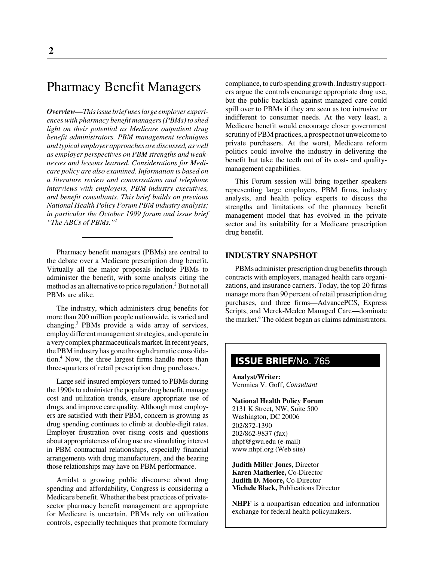# Pharmacy Benefit Managers

*Overview—This issue brief uses large employer experiences with pharmacy benefit managers (PBMs) to shed light on their potential as Medicare outpatient drug benefit administrators. PBM management techniques and typical employer approaches are discussed, as well as employer perspectives on PBM strengths and weaknesses and lessons learned. Considerations for Medicare policy are also examined. Information is based on a literature review and conversations and telephone interviews with employers, PBM industry executives, and benefit consultants. This brief builds on previous National Health Policy Forum PBM industry analysis; in particular the October 1999 forum and issue brief "The ABCs of PBMs."1*

Pharmacy benefit managers (PBMs) are central to the debate over a Medicare prescription drug benefit. Virtually all the major proposals include PBMs to administer the benefit, with some analysts citing the method as an alternative to price regulation.<sup>2</sup> But not all PBMs are alike.

The industry, which administers drug benefits for more than 200 million people nationwide, is varied and changing.<sup>3</sup> PBMs provide a wide array of services, employ different management strategies, and operate in a very complex pharmaceuticals market. In recent years, the PBM industry has gone through dramatic consolidation.<sup>4</sup> Now, the three largest firms handle more than three-quarters of retail prescription drug purchases.<sup>5</sup>

Large self-insured employers turned to PBMs during the 1990s to administer the popular drug benefit, manage cost and utilization trends, ensure appropriate use of drugs, and improve care quality. Although most employers are satisfied with their PBM, concern is growing as drug spending continues to climb at double-digit rates. Employer frustration over rising costs and questions about appropriateness of drug use are stimulating interest in PBM contractual relationships, especially financial arrangements with drug manufacturers, and the bearing those relationships may have on PBM performance.

Amidst a growing public discourse about drug spending and affordability, Congress is considering a Medicare benefit. Whether the best practices of privatesector pharmacy benefit management are appropriate for Medicare is uncertain. PBMs rely on utilization controls, especially techniques that promote formulary compliance, to curb spending growth. Industry supporters argue the controls encourage appropriate drug use, but the public backlash against managed care could spill over to PBMs if they are seen as too intrusive or indifferent to consumer needs. At the very least, a Medicare benefit would encourage closer government scrutiny of PBM practices, a prospect not unwelcome to private purchasers. At the worst, Medicare reform politics could involve the industry in delivering the benefit but take the teeth out of its cost- and qualitymanagement capabilities.

This Forum session will bring together speakers representing large employers, PBM firms, industry analysts, and health policy experts to discuss the strengths and limitations of the pharmacy benefit management model that has evolved in the private sector and its suitability for a Medicare prescription drug benefit.

#### **INDUSTRY SNAPSHOT**

PBMs administer prescription drug benefits through contracts with employers, managed health care organizations, and insurance carriers. Today, the top 20 firms manage more than 90 percent of retail prescription drug purchases, and three firms—AdvancePCS, Express Scripts, and Merck-Medco Managed Care—dominate the market.<sup>6</sup> The oldest began as claims administrators.

# **ISSUE BRIEF**/No. 765

**Analyst/Writer:** Veronica V. Goff, *Consultant*

**National Health Policy Forum** 2131 K Street, NW, Suite 500 Washington, DC 20006 202/872-1390 202/862-9837 (fax) nhpf@gwu.edu (e-mail) www.nhpf.org (Web site)

**Judith Miller Jones,** Director **Karen Matherlee,** Co-Director **Judith D. Moore,** Co-Director **Michele Black,** Publications Director

**NHPF** is a nonpartisan education and information exchange for federal health policymakers.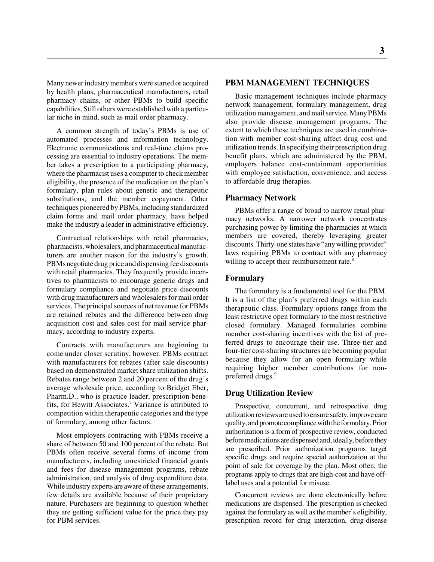Many newer industry members were started or acquired by health plans, pharmaceutical manufacturers, retail pharmacy chains, or other PBMs to build specific capabilities. Still others were established with a particular niche in mind, such as mail order pharmacy.

A common strength of today's PBMs is use of automated processes and information technology. Electronic communications and real-time claims processing are essential to industry operations. The member takes a prescription to a participating pharmacy, where the pharmacist uses a computer to check member eligibility, the presence of the medication on the plan's formulary, plan rules about generic and therapeutic substitutions, and the member copayment. Other techniques pioneered by PBMs, including standardized claim forms and mail order pharmacy, have helped make the industry a leader in administrative efficiency.

Contractual relationships with retail pharmacies, pharmacists, wholesalers, and pharmaceutical manufacturers are another reason for the industry's growth. PBMs negotiate drug price and dispensing fee discounts with retail pharmacies. They frequently provide incentives to pharmacists to encourage generic drugs and formulary compliance and negotiate price discounts with drug manufacturers and wholesalers for mail order services. The principal sources of net revenue for PBMs are retained rebates and the difference between drug acquisition cost and sales cost for mail service pharmacy, according to industry experts.

Contracts with manufacturers are beginning to come under closer scrutiny, however. PBMs contract with manufacturers for rebates (after sale discounts) based on demonstrated market share utilization shifts. Rebates range between 2 and 20 percent of the drug's average wholesale price, according to Bridget Eber, Pharm.D., who is practice leader, prescription benefits, for Hewitt Associates.7 Variance is attributed to competition within therapeutic categories and the type of formulary, among other factors.

Most employers contracting with PBMs receive a share of between 50 and 100 percent of the rebate. But PBMs often receive several forms of income from manufacturers, including unrestricted financial grants and fees for disease management programs, rebate administration, and analysis of drug expenditure data. While industry experts are aware of these arrangements, few details are available because of their proprietary nature. Purchasers are beginning to question whether they are getting sufficient value for the price they pay for PBM services.

#### **PBM MANAGEMENT TECHNIQUES**

Basic management techniques include pharmacy network management, formulary management, drug utilization management, and mail service. Many PBMs also provide disease management programs. The extent to which these techniques are used in combination with member cost-sharing affect drug cost and utilization trends. In specifying their prescription drug benefit plans, which are administered by the PBM, employers balance cost-containment opportunities with employee satisfaction, convenience, and access to affordable drug therapies.

#### **Pharmacy Network**

PBMs offer a range of broad to narrow retail pharmacy networks. A narrower network concentrates purchasing power by limiting the pharmacies at which members are covered, thereby leveraging greater discounts. Thirty-one states have "any willing provider" laws requiring PBMs to contract with any pharmacy willing to accept their reimbursement rate.<sup>8</sup>

#### **Formulary**

The formulary is a fundamental tool for the PBM. It is a list of the plan's preferred drugs within each therapeutic class. Formulary options range from the least restrictive open formulary to the most restrictive closed formulary. Managed formularies combine member cost-sharing incentives with the list of preferred drugs to encourage their use. Three-tier and four-tier cost-sharing structures are becoming popular because they allow for an open formulary while requiring higher member contributions for nonpreferred drugs.<sup>9</sup>

#### **Drug Utilization Review**

Prospective, concurrent, and retrospective drug utilization reviews are used to ensure safety, improve care quality, and promote compliance with the formulary. Prior authorization is a form of prospective review, conducted before medications are dispensed and, ideally, before they are prescribed. Prior authorization programs target specific drugs and require special authorization at the point of sale for coverage by the plan. Most often, the programs apply to drugs that are high-cost and have offlabel uses and a potential for misuse.

Concurrent reviews are done electronically before medications are dispensed. The prescription is checked against the formulary as well as the member's eligibility, prescription record for drug interaction, drug-disease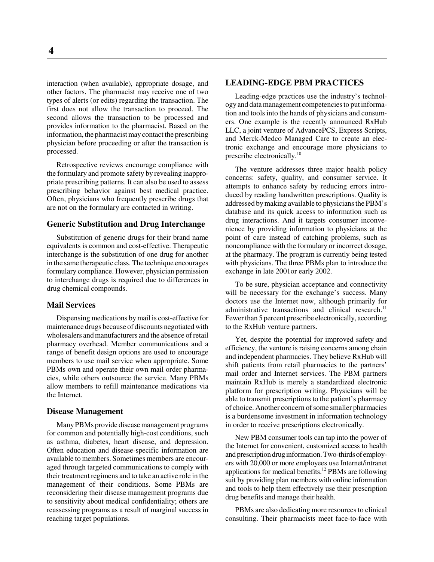interaction (when available), appropriate dosage, and other factors. The pharmacist may receive one of two types of alerts (or edits) regarding the transaction. The first does not allow the transaction to proceed. The second allows the transaction to be processed and provides information to the pharmacist. Based on the information, the pharmacist may contact the prescribing physician before proceeding or after the transaction is processed.

Retrospective reviews encourage compliance with the formulary and promote safety by revealing inappropriate prescribing patterns. It can also be used to assess prescribing behavior against best medical practice. Often, physicians who frequently prescribe drugs that are not on the formulary are contacted in writing.

#### **Generic Substitution and Drug Interchange**

Substitution of generic drugs for their brand name equivalents is common and cost-effective. Therapeutic interchange is the substitution of one drug for another in the same therapeutic class. The technique encourages formulary compliance. However, physician permission to interchange drugs is required due to differences in drug chemical compounds.

#### **Mail Services**

Dispensing medications by mail is cost-effective for maintenance drugs because of discounts negotiated with wholesalers and manufacturers and the absence of retail pharmacy overhead. Member communications and a range of benefit design options are used to encourage members to use mail service when appropriate. Some PBMs own and operate their own mail order pharmacies, while others outsource the service. Many PBMs allow members to refill maintenance medications via the Internet.

#### **Disease Management**

Many PBMs provide disease management programs for common and potentially high-cost conditions, such as asthma, diabetes, heart disease, and depression. Often education and disease-specific information are available to members. Sometimes members are encouraged through targeted communications to comply with their treatment regimens and to take an active role in the management of their conditions. Some PBMs are reconsidering their disease management programs due to sensitivity about medical confidentiality; others are reassessing programs as a result of marginal success in reaching target populations.

#### **LEADING-EDGE PBM PRACTICES**

Leading-edge practices use the industry's technology and data management competencies to put information and tools into the hands of physicians and consumers. One example is the recently announced RxHub LLC, a joint venture of AdvancePCS, Express Scripts, and Merck-Medco Managed Care to create an electronic exchange and encourage more physicians to prescribe electronically.<sup>10</sup>

The venture addresses three major health policy concerns: safety, quality, and consumer service. It attempts to enhance safety by reducing errors introduced by reading handwritten prescriptions. Quality is addressed by making available to physicians the PBM's database and its quick access to information such as drug interactions. And it targets consumer inconvenience by providing information to physicians at the point of care instead of catching problems, such as noncompliance with the formulary or incorrect dosage, at the pharmacy. The program is currently being tested with physicians. The three PBMs plan to introduce the exchange in late 2001or early 2002.

To be sure, physician acceptance and connectivity will be necessary for the exchange's success. Many doctors use the Internet now, although primarily for administrative transactions and clinical research.<sup>11</sup> Fewer than 5 percent prescribe electronically, according to the RxHub venture partners.

Yet, despite the potential for improved safety and efficiency, the venture is raising concerns among chain and independent pharmacies. They believe RxHub will shift patients from retail pharmacies to the partners' mail order and Internet services. The PBM partners maintain RxHub is merely a standardized electronic platform for prescription writing. Physicians will be able to transmit prescriptions to the patient's pharmacy of choice. Another concern of some smaller pharmacies is a burdensome investment in information technology in order to receive prescriptions electronically.

New PBM consumer tools can tap into the power of the Internet for convenient, customized access to health and prescription drug information. Two-thirds of employers with 20,000 or more employees use Internet/intranet applications for medical benefits.<sup>12</sup> PBMs are following suit by providing plan members with online information and tools to help them effectively use their prescription drug benefits and manage their health.

PBMs are also dedicating more resources to clinical consulting. Their pharmacists meet face-to-face with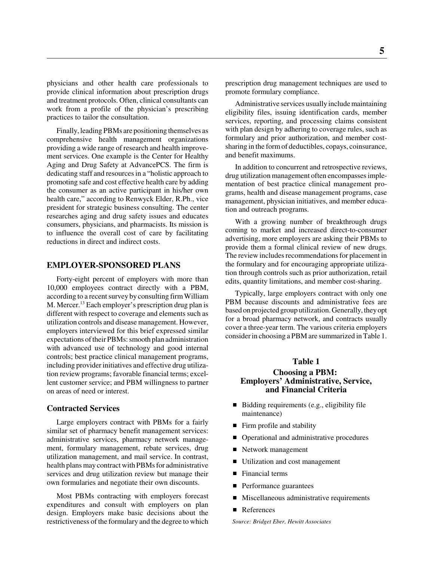physicians and other health care professionals to provide clinical information about prescription drugs and treatment protocols. Often, clinical consultants can work from a profile of the physician's prescribing practices to tailor the consultation.

Finally, leading PBMs are positioning themselves as comprehensive health management organizations providing a wide range of research and health improvement services. One example is the Center for Healthy Aging and Drug Safety at AdvancePCS. The firm is dedicating staff and resources in a "holistic approach to promoting safe and cost effective health care by adding the consumer as an active participant in his/her own health care," according to Renwyck Elder, R.Ph., vice president for strategic business consulting. The center researches aging and drug safety issues and educates consumers, physicians, and pharmacists. Its mission is to influence the overall cost of care by facilitating reductions in direct and indirect costs.

#### **EMPLOYER-SPONSORED PLANS**

Forty-eight percent of employers with more than 10,000 employees contract directly with a PBM, according to a recent survey by consulting firm William M. Mercer.<sup>13</sup> Each employer's prescription drug plan is different with respect to coverage and elements such as utilization controls and disease management. However, employers interviewed for this brief expressed similar expectations of their PBMs: smooth plan administration with advanced use of technology and good internal controls; best practice clinical management programs, including provider initiatives and effective drug utilization review programs; favorable financial terms; excellent customer service; and PBM willingness to partner on areas of need or interest.

#### **Contracted Services**

Large employers contract with PBMs for a fairly similar set of pharmacy benefit management services: administrative services, pharmacy network management, formulary management, rebate services, drug utilization management, and mail service. In contrast, health plans may contract with PBMs for administrative services and drug utilization review but manage their own formularies and negotiate their own discounts.

Most PBMs contracting with employers forecast expenditures and consult with employers on plan design. Employers make basic decisions about the restrictiveness of the formulary and the degree to which

prescription drug management techniques are used to promote formulary compliance.

Administrative services usually include maintaining eligibility files, issuing identification cards, member services, reporting, and processing claims consistent with plan design by adhering to coverage rules, such as formulary and prior authorization, and member costsharing in the form of deductibles, copays, coinsurance, and benefit maximums.

In addition to concurrent and retrospective reviews, drug utilization management often encompasses implementation of best practice clinical management programs, health and disease management programs, case management, physician initiatives, and member education and outreach programs.

With a growing number of breakthrough drugs coming to market and increased direct-to-consumer advertising, more employers are asking their PBMs to provide them a formal clinical review of new drugs. The review includes recommendations for placement in the formulary and for encouraging appropriate utilization through controls such as prior authorization, retail edits, quantity limitations, and member cost-sharing.

Typically, large employers contract with only one PBM because discounts and administrative fees are based on projected group utilization. Generally, they opt for a broad pharmacy network, and contracts usually cover a three-year term. The various criteria employers consider in choosing a PBM are summarized in Table 1.

#### **Table 1**

#### **Choosing a PBM: Employers' Administrative, Service, and Financial Criteria**

- Bidding requirements (e.g., eligibility file maintenance)
- Firm profile and stability
- Operational and administrative procedures
- Network management
- Utilization and cost management
- Financial terms
- **Performance guarantees**
- **Miscellaneous administrative requirements**
- References

*Source: Bridget Eber, Hewitt Associates*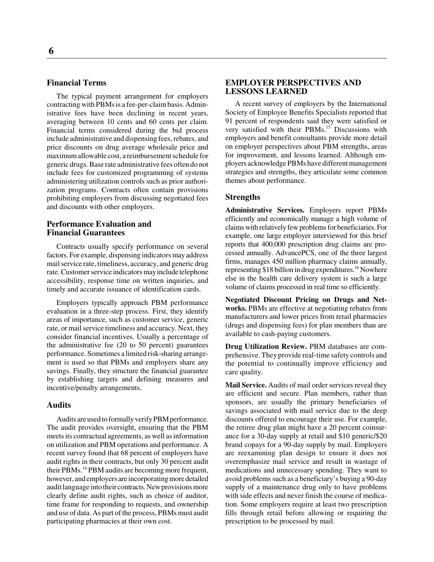#### **Financial Terms**

The typical payment arrangement for employers contracting with PBMs is a fee-per-claim basis. Administrative fees have been declining in recent years, averaging between 10 cents and 60 cents per claim. Financial terms considered during the bid process include administrative and dispensing fees, rebates, and price discounts on drug average wholesale price and maximum allowable cost, a reimbursement schedule for generic drugs. Base rate administrative fees often do not include fees for customized programming of systems administering utilization controls such as prior authorization programs. Contracts often contain provisions prohibiting employers from discussing negotiated fees and discounts with other employers.

#### **Performance Evaluation and Financial Guarantees**

Contracts usually specify performance on several factors. For example, dispensing indicators may address mail service rate, timeliness, accuracy, and generic drug rate. Customer service indicators may include telephone accessibility, response time on written inquiries, and timely and accurate issuance of identification cards.

Employers typically approach PBM performance evaluation in a three-step process. First, they identify areas of importance, such as customer service, generic rate, or mail service timeliness and accuracy. Next, they consider financial incentives. Usually a percentage of the administrative fee (20 to 50 percent) guarantees performance. Sometimes a limited risk-sharing arrangement is used so that PBMs and employers share any savings. Finally, they structure the financial guarantee by establishing targets and defining measures and incentive/penalty arrangements.

#### **Audits**

Audits are used to formally verify PBM performance. The audit provides oversight, ensuring that the PBM meets its contractual agreements, as well as information on utilization and PBM operations and performance. A recent survey found that 68 percent of employers have audit rights in their contracts, but only 30 percent audit their PBMs.14 PBM audits are becoming more frequent, however, and employers are incorporating more detailed audit language into their contracts. New provisions more clearly define audit rights, such as choice of auditor, time frame for responding to requests, and ownership and use of data. As part of the process, PBMs must audit participating pharmacies at their own cost.

#### **EMPLOYER PERSPECTIVES AND LESSONS LEARNED**

A recent survey of employers by the International Society of Employee Benefits Specialists reported that 91 percent of respondents said they were satisfied or very satisfied with their PBMs.<sup>15</sup> Discussions with employers and benefit consultants provide more detail on employer perspectives about PBM strengths, areas for improvement, and lessons learned. Although employers acknowledge PBMs have different management strategies and strengths, they articulate some common themes about performance.

#### **Strengths**

**Administrative Services.** Employers report PBMs efficiently and economically manage a high volume of claims with relatively few problems for beneficiaries. For example, one large employer interviewed for this brief reports that 400,000 prescription drug claims are processed annually. AdvancePCS, one of the three largest firms, manages 450 million pharmacy claims annually, representing \$18 billion in drug expenditures.<sup>16</sup> Nowhere else in the health care delivery system is such a large volume of claims processed in real time so efficiently.

**Negotiated Discount Pricing on Drugs and Networks.** PBMs are effective at negotiating rebates from manufacturers and lower prices from retail pharmacies (drugs and dispensing fees) for plan members than are available to cash-paying customers.

**Drug Utilization Review.** PBM databases are comprehensive. They provide real-time safety controls and the potential to continually improve efficiency and care quality.

**Mail Service.** Audits of mail order services reveal they are efficient and secure. Plan members, rather than sponsors, are usually the primary beneficiaries of savings associated with mail service due to the deep discounts offered to encourage their use. For example, the retiree drug plan might have a 20 percent coinsurance for a 30-day supply at retail and \$10 generic/\$20 brand copays for a 90-day supply by mail. Employers are reexamining plan design to ensure it does not overemphasize mail service and result in wastage of medications and unnecessary spending. They want to avoid problems such as a beneficiary's buying a 90-day supply of a maintenance drug only to have problems with side effects and never finish the course of medication. Some employers require at least two prescription fills through retail before allowing or requiring the prescription to be processed by mail.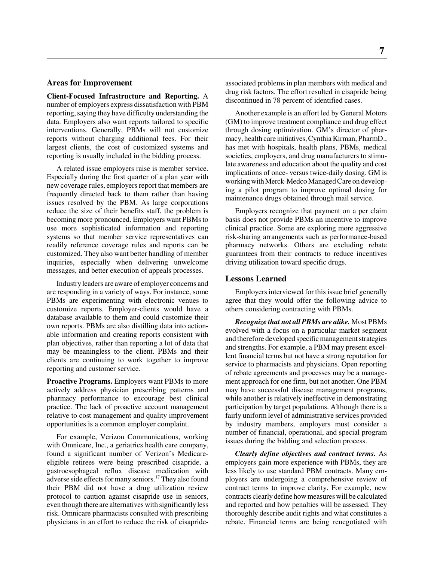#### **Areas for Improvement**

**Client-Focused Infrastructure and Reporting.** A number of employers express dissatisfaction with PBM reporting, saying they have difficulty understanding the data. Employers also want reports tailored to specific interventions. Generally, PBMs will not customize reports without charging additional fees. For their largest clients, the cost of customized systems and reporting is usually included in the bidding process.

A related issue employers raise is member service. Especially during the first quarter of a plan year with new coverage rules, employers report that members are frequently directed back to them rather than having issues resolved by the PBM. As large corporations reduce the size of their benefits staff, the problem is becoming more pronounced. Employers want PBMs to use more sophisticated information and reporting systems so that member service representatives can readily reference coverage rules and reports can be customized. They also want better handling of member inquiries, especially when delivering unwelcome messages, and better execution of appeals processes.

Industry leaders are aware of employer concerns and are responding in a variety of ways. For instance, some PBMs are experimenting with electronic venues to customize reports. Employer-clients would have a database available to them and could customize their own reports. PBMs are also distilling data into actionable information and creating reports consistent with plan objectives, rather than reporting a lot of data that may be meaningless to the client. PBMs and their clients are continuing to work together to improve reporting and customer service.

**Proactive Programs.** Employers want PBMs to more actively address physician prescribing patterns and pharmacy performance to encourage best clinical practice. The lack of proactive account management relative to cost management and quality improvement opportunities is a common employer complaint.

For example, Verizon Communications, working with Omnicare, Inc., a geriatrics health care company, found a significant number of Verizon's Medicareeligible retirees were being prescribed cisapride, a gastroesophageal reflux disease medication with adverse side effects for many seniors.17 They also found their PBM did not have a drug utilization review protocol to caution against cisapride use in seniors, even though there are alternatives with significantly less risk. Omnicare pharmacists consulted with prescribing physicians in an effort to reduce the risk of cisaprideassociated problems in plan members with medical and drug risk factors. The effort resulted in cisapride being discontinued in 78 percent of identified cases.

Another example is an effort led by General Motors (GM) to improve treatment compliance and drug effect through dosing optimization. GM's director of pharmacy, health care initiatives, Cynthia Kirman, PharmD., has met with hospitals, health plans, PBMs, medical societies, employers, and drug manufacturers to stimulate awareness and education about the quality and cost implications of once- versus twice-daily dosing. GM is working with Merck-Medco Managed Care on developing a pilot program to improve optimal dosing for maintenance drugs obtained through mail service.

Employers recognize that payment on a per claim basis does not provide PBMs an incentive to improve clinical practice. Some are exploring more aggressive risk-sharing arrangements such as performance-based pharmacy networks. Others are excluding rebate guarantees from their contracts to reduce incentives driving utilization toward specific drugs.

#### **Lessons Learned**

Employers interviewed for this issue brief generally agree that they would offer the following advice to others considering contracting with PBMs.

*Recognize that not all PBMs are alike.* Most PBMs evolved with a focus on a particular market segment and therefore developed specific management strategies and strengths. For example, a PBM may present excellent financial terms but not have a strong reputation for service to pharmacists and physicians. Open reporting of rebate agreements and processes may be a management approach for one firm, but not another. One PBM may have successful disease management programs, while another is relatively ineffective in demonstrating participation by target populations. Although there is a fairly uniform level of administrative services provided by industry members, employers must consider a number of financial, operational, and special program issues during the bidding and selection process.

*Clearly define objectives and contract terms.* As employers gain more experience with PBMs, they are less likely to use standard PBM contracts. Many employers are undergoing a comprehensive review of contract terms to improve clarity. For example, new contracts clearly define how measures will be calculated and reported and how penalties will be assessed. They thoroughly describe audit rights and what constitutes a rebate. Financial terms are being renegotiated with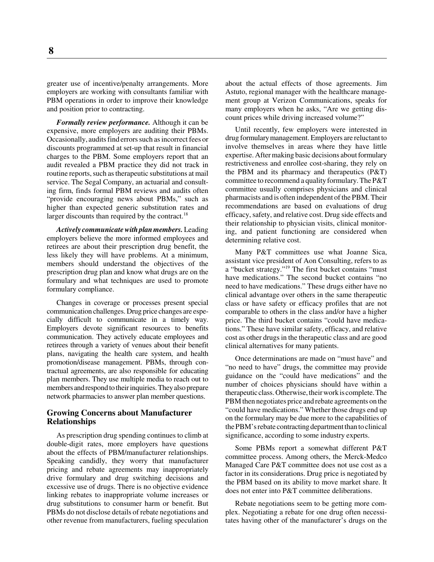greater use of incentive/penalty arrangements. More employers are working with consultants familiar with PBM operations in order to improve their knowledge and position prior to contracting.

*Formally review performance.* Although it can be expensive, more employers are auditing their PBMs. Occasionally, audits find errors such as incorrect fees or discounts programmed at set-up that result in financial charges to the PBM. Some employers report that an audit revealed a PBM practice they did not track in routine reports, such as therapeutic substitutions at mail service. The Segal Company, an actuarial and consulting firm, finds formal PBM reviews and audits often "provide encouraging news about PBMs," such as higher than expected generic substitution rates and larger discounts than required by the contract. $18$ 

*Actively communicate with plan members.* Leading employers believe the more informed employees and retirees are about their prescription drug benefit, the less likely they will have problems. At a minimum, members should understand the objectives of the prescription drug plan and know what drugs are on the formulary and what techniques are used to promote formulary compliance.

Changes in coverage or processes present special communication challenges. Drug price changes are especially difficult to communicate in a timely way. Employers devote significant resources to benefits communication. They actively educate employees and retirees through a variety of venues about their benefit plans, navigating the health care system, and health promotion/disease management. PBMs, through contractual agreements, are also responsible for educating plan members. They use multiple media to reach out to members and respond to their inquiries. They also prepare network pharmacies to answer plan member questions.

#### **Growing Concerns about Manufacturer Relationships**

As prescription drug spending continues to climb at double-digit rates, more employers have questions about the effects of PBM/manufacturer relationships. Speaking candidly, they worry that manufacturer pricing and rebate agreements may inappropriately drive formulary and drug switching decisions and excessive use of drugs. There is no objective evidence linking rebates to inappropriate volume increases or drug substitutions to consumer harm or benefit. But PBMs do not disclose details of rebate negotiations and other revenue from manufacturers, fueling speculation

about the actual effects of those agreements. Jim Astuto, regional manager with the healthcare management group at Verizon Communications, speaks for many employers when he asks, "Are we getting discount prices while driving increased volume?"

Until recently, few employers were interested in drug formulary management. Employers are reluctant to involve themselves in areas where they have little expertise. After making basic decisions about formulary restrictiveness and enrollee cost-sharing, they rely on the PBM and its pharmacy and therapeutics (P&T) committee to recommend a quality formulary. The P&T committee usually comprises physicians and clinical pharmacists and is often independent of the PBM. Their recommendations are based on evaluations of drug efficacy, safety, and relative cost. Drug side effects and their relationship to physician visits, clinical monitoring, and patient functioning are considered when determining relative cost.

Many P&T committees use what Joanne Sica, assistant vice president of Aon Consulting, refers to as a "bucket strategy."19 The first bucket contains "must have medications." The second bucket contains "no need to have medications." These drugs either have no clinical advantage over others in the same therapeutic class or have safety or efficacy profiles that are not comparable to others in the class and/or have a higher price. The third bucket contains "could have medications." These have similar safety, efficacy, and relative cost as other drugs in the therapeutic class and are good clinical alternatives for many patients.

Once determinations are made on "must have" and "no need to have" drugs, the committee may provide guidance on the "could have medications" and the number of choices physicians should have within a therapeutic class. Otherwise, their work is complete. The PBM then negotiates price and rebate agreements on the "could have medications." Whether those drugs end up on the formulary may be due more to the capabilities of the PBM's rebate contracting department than to clinical significance, according to some industry experts.

Some PBMs report a somewhat different P&T committee process. Among others, the Merck-Medco Managed Care P&T committee does not use cost as a factor in its considerations. Drug price is negotiated by the PBM based on its ability to move market share. It does not enter into P&T committee deliberations.

Rebate negotiations seem to be getting more complex. Negotiating a rebate for one drug often necessitates having other of the manufacturer's drugs on the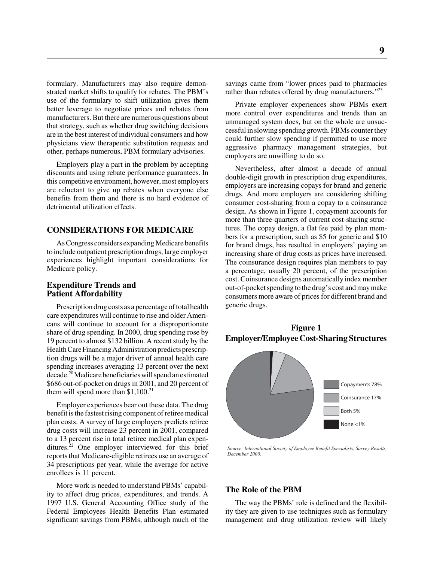formulary. Manufacturers may also require demonstrated market shifts to qualify for rebates. The PBM's use of the formulary to shift utilization gives them better leverage to negotiate prices and rebates from manufacturers. But there are numerous questions about that strategy, such as whether drug switching decisions are in the best interest of individual consumers and how physicians view therapeutic substitution requests and other, perhaps numerous, PBM formulary advisories.

Employers play a part in the problem by accepting discounts and using rebate performance guarantees. In this competitive environment, however, most employers are reluctant to give up rebates when everyone else benefits from them and there is no hard evidence of detrimental utilization effects.

#### **CONSIDERATIONS FOR MEDICARE**

As Congress considers expanding Medicare benefits to include outpatient prescription drugs, large employer experiences highlight important considerations for Medicare policy.

#### **Expenditure Trends and Patient Affordability**

Prescription drug costs as a percentage of total health care expenditures will continue to rise and older Americans will continue to account for a disproportionate share of drug spending. In 2000, drug spending rose by 19 percent to almost \$132 billion. A recent study by the Health Care Financing Administration predicts prescription drugs will be a major driver of annual health care spending increases averaging 13 percent over the next decade.<sup>20</sup> Medicare beneficiaries will spend an estimated \$686 out-of-pocket on drugs in 2001, and 20 percent of them will spend more than  $$1,100.<sup>21</sup>$ 

Employer experiences bear out these data. The drug benefit is the fastest rising component of retiree medical plan costs. A survey of large employers predicts retiree drug costs will increase 23 percent in 2001, compared to a 13 percent rise in total retiree medical plan expenditures. $22$  One employer interviewed for this brief reports that Medicare-eligible retirees use an average of 34 prescriptions per year, while the average for active enrollees is 11 percent.

More work is needed to understand PBMs' capability to affect drug prices, expenditures, and trends. A 1997 U.S. General Accounting Office study of the Federal Employees Health Benefits Plan estimated significant savings from PBMs, although much of the

savings came from "lower prices paid to pharmacies rather than rebates offered by drug manufacturers."<sup>23</sup>

Private employer experiences show PBMs exert more control over expenditures and trends than an unmanaged system does, but on the whole are unsuccessful in slowing spending growth. PBMs counter they could further slow spending if permitted to use more aggressive pharmacy management strategies, but employers are unwilling to do so.

Nevertheless, after almost a decade of annual double-digit growth in prescription drug expenditures, employers are increasing copays for brand and generic drugs. And more employers are considering shifting consumer cost-sharing from a copay to a coinsurance design. As shown in Figure 1, copayment accounts for more than three-quarters of current cost-sharing structures. The copay design, a flat fee paid by plan members for a prescription, such as \$5 for generic and \$10 for brand drugs, has resulted in employers' paying an increasing share of drug costs as prices have increased. The coinsurance design requires plan members to pay a percentage, usually 20 percent, of the prescription cost. Coinsurance designs automatically index member out-of-pocket spending to the drug's cost and may make consumers more aware of prices for different brand and generic drugs.





*Source: International Society of Employee Benefit Specialists, Survey Results, December 2000.*

#### **The Role of the PBM**

The way the PBMs' role is defined and the flexibility they are given to use techniques such as formulary management and drug utilization review will likely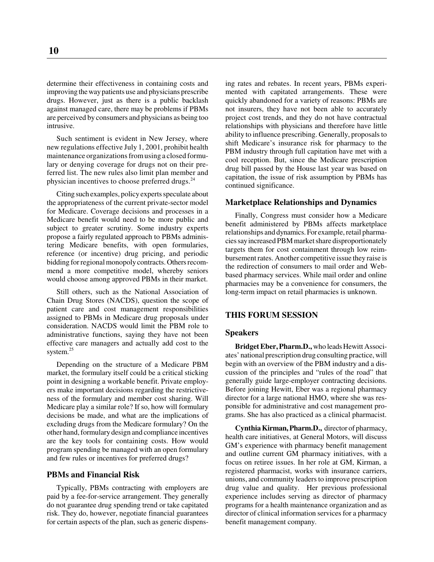determine their effectiveness in containing costs and improving the way patients use and physicians prescribe drugs. However, just as there is a public backlash against managed care, there may be problems if PBMs are perceived by consumers and physicians as being too intrusive.

Such sentiment is evident in New Jersey, where new regulations effective July 1, 2001, prohibit health maintenance organizations from using a closed formulary or denying coverage for drugs not on their preferred list. The new rules also limit plan member and physician incentives to choose preferred drugs.<sup>24</sup>

Citing such examples, policy experts speculate about the appropriateness of the current private-sector model for Medicare. Coverage decisions and processes in a Medicare benefit would need to be more public and subject to greater scrutiny. Some industry experts propose a fairly regulated approach to PBMs administering Medicare benefits, with open formularies, reference (or incentive) drug pricing, and periodic bidding for regional monopoly contracts. Others recommend a more competitive model, whereby seniors would choose among approved PBMs in their market.

Still others, such as the National Association of Chain Drug Stores (NACDS), question the scope of patient care and cost management responsibilities assigned to PBMs in Medicare drug proposals under consideration. NACDS would limit the PBM role to administrative functions, saying they have not been effective care managers and actually add cost to the system.<sup>25</sup>

Depending on the structure of a Medicare PBM market, the formulary itself could be a critical sticking point in designing a workable benefit. Private employers make important decisions regarding the restrictiveness of the formulary and member cost sharing. Will Medicare play a similar role? If so, how will formulary decisions be made, and what are the implications of excluding drugs from the Medicare formulary? On the other hand, formulary design and compliance incentives are the key tools for containing costs. How would program spending be managed with an open formulary and few rules or incentives for preferred drugs?

#### **PBMs and Financial Risk**

Typically, PBMs contracting with employers are paid by a fee-for-service arrangement. They generally do not guarantee drug spending trend or take capitated risk. They do, however, negotiate financial guarantees for certain aspects of the plan, such as generic dispens-

ing rates and rebates. In recent years, PBMs experimented with capitated arrangements. These were quickly abandoned for a variety of reasons: PBMs are not insurers, they have not been able to accurately project cost trends, and they do not have contractual relationships with physicians and therefore have little ability to influence prescribing. Generally, proposals to shift Medicare's insurance risk for pharmacy to the PBM industry through full capitation have met with a cool reception. But, since the Medicare prescription drug bill passed by the House last year was based on capitation, the issue of risk assumption by PBMs has continued significance.

#### **Marketplace Relationships and Dynamics**

Finally, Congress must consider how a Medicare benefit administered by PBMs affects marketplace relationships and dynamics. For example, retail pharmacies say increased PBM market share disproportionately targets them for cost containment through low reimbursement rates. Another competitive issue they raise is the redirection of consumers to mail order and Webbased pharmacy services. While mail order and online pharmacies may be a convenience for consumers, the long-term impact on retail pharmacies is unknown.

#### **THIS FORUM SESSION**

#### **Speakers**

**Bridget Eber, Pharm.D.,** who leads Hewitt Associates' national prescription drug consulting practice, will begin with an overview of the PBM industry and a discussion of the principles and "rules of the road" that generally guide large-employer contracting decisions. Before joining Hewitt, Eber was a regional pharmacy director for a large national HMO, where she was responsible for administrative and cost management programs. She has also practiced as a clinical pharmacist.

**Cynthia Kirman, Pharm.D.,** director of pharmacy, health care initiatives, at General Motors, will discuss GM's experience with pharmacy benefit management and outline current GM pharmacy initiatives, with a focus on retiree issues. In her role at GM, Kirman, a registered pharmacist, works with insurance carriers, unions, and community leaders to improve prescription drug value and quality. Her previous professional experience includes serving as director of pharmacy programs for a health maintenance organization and as director of clinical information services for a pharmacy benefit management company.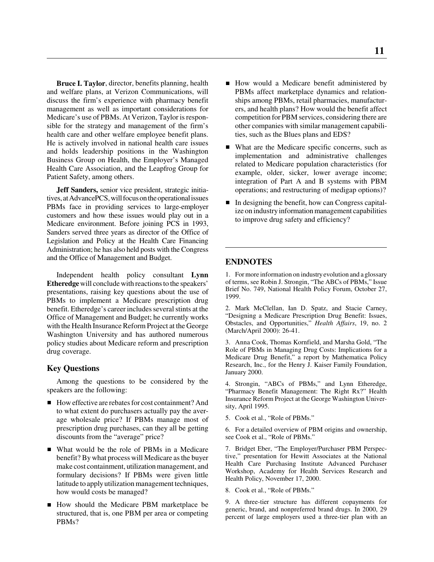**Bruce I. Taylor**, director, benefits planning, health and welfare plans, at Verizon Communications, will discuss the firm's experience with pharmacy benefit management as well as important considerations for Medicare's use of PBMs. At Verizon, Taylor is responsible for the strategy and management of the firm's health care and other welfare employee benefit plans. He is actively involved in national health care issues and holds leadership positions in the Washington Business Group on Health, the Employer's Managed Health Care Association, and the Leapfrog Group for Patient Safety, among others.

**Jeff Sanders,** senior vice president, strategic initiatives, at AdvancePCS, will focus on the operational issues PBMs face in providing services to large-employer customers and how these issues would play out in a Medicare environment. Before joining PCS in 1993, Sanders served three years as director of the Office of Legislation and Policy at the Health Care Financing Administration; he has also held posts with the Congress and the Office of Management and Budget.

Independent health policy consultant **Lynn Etheredge** will conclude with reactions to the speakers' presentations, raising key questions about the use of PBMs to implement a Medicare prescription drug benefit. Etheredge's career includes several stints at the Office of Management and Budget; he currently works with the Health Insurance Reform Project at the George Washington University and has authored numerous policy studies about Medicare reform and prescription drug coverage.

#### **Key Questions**

Among the questions to be considered by the speakers are the following:

- How effective are rebates for cost containment? And to what extent do purchasers actually pay the average wholesale price? If PBMs manage most of prescription drug purchases, can they all be getting discounts from the "average" price?
- What would be the role of PBMs in a Medicare benefit? By what process will Medicare as the buyer make cost containment, utilization management, and formulary decisions? If PBMs were given little latitude to apply utilization management techniques, how would costs be managed?
- How should the Medicare PBM marketplace be structured, that is, one PBM per area or competing PBMs?
- How would a Medicare benefit administered by PBMs affect marketplace dynamics and relationships among PBMs, retail pharmacies, manufacturers, and health plans? How would the benefit affect competition for PBM services, considering there are other companies with similar management capabilities, such as the Blues plans and EDS?
- What are the Medicare specific concerns, such as implementation and administrative challenges related to Medicare population characteristics (for example, older, sicker, lower average income; integration of Part A and B systems with PBM operations; and restructuring of medigap options)?
- $\blacksquare$  In designing the benefit, how can Congress capitalize on industry information management capabilities to improve drug safety and efficiency?

#### **ENDNOTES**

1. For more information on industry evolution and a glossary of terms, see Robin J. Strongin, "The ABCs of PBMs," Issue Brief No. 749, National Health Policy Forum, October 27, 1999.

2. Mark McClellan, Ian D. Spatz, and Stacie Carney, "Designing a Medicare Prescription Drug Benefit: Issues, Obstacles, and Opportunities," *Health Affairs*, 19, no. 2 (March/April 2000): 26-41.

3. Anna Cook, Thomas Kornfield, and Marsha Gold, "The Role of PBMs in Managing Drug Costs: Implications for a Medicare Drug Benefit," a report by Mathematica Policy Research, Inc., for the Henry J. Kaiser Family Foundation, January 2000.

4. Strongin, "ABCs of PBMs," and Lynn Etheredge, "Pharmacy Benefit Management: The Right Rx?" Health Insurance Reform Project at the George Washington University, April 1995.

5. Cook et al., "Role of PBMs."

6. For a detailed overview of PBM origins and ownership, see Cook et al., "Role of PBMs."

7. Bridget Eber, "The Employer/Purchaser PBM Perspective," presentation for Hewitt Associates at the National Health Care Purchasing Institute Advanced Purchaser Workshop, Academy for Health Services Research and Health Policy, November 17, 2000.

8. Cook et al., "Role of PBMs."

9. A three-tier structure has different copayments for generic, brand, and nonpreferred brand drugs. In 2000, 29 percent of large employers used a three-tier plan with an